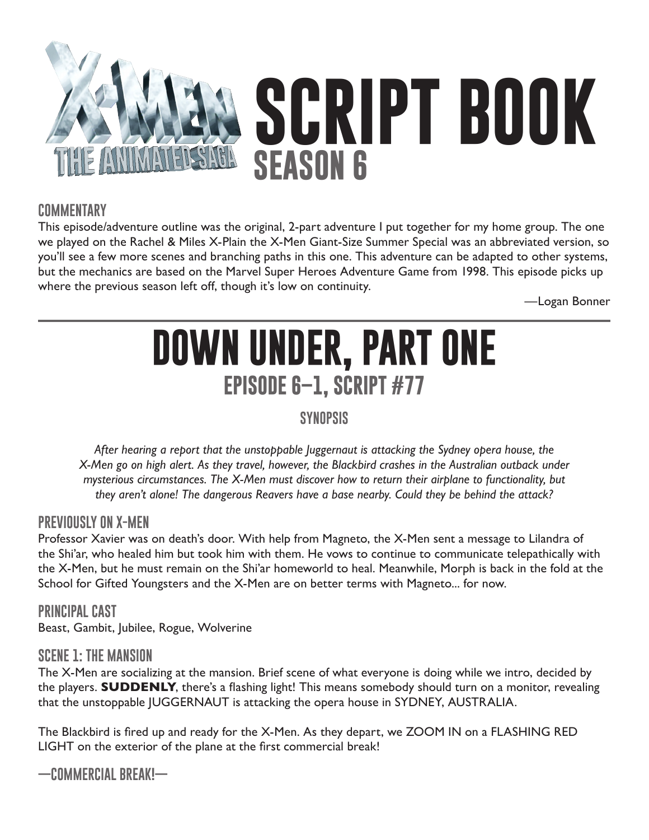

## **COMMENTARY**

This episode/adventure outline was the original, 2-part adventure I put together for my home group. The one we played on the Rachel & Miles X-Plain the X-Men Giant-Size Summer Special was an abbreviated version, so you'll see a few more scenes and branching paths in this one. This adventure can be adapted to other systems, but the mechanics are based on the Marvel Super Heroes Adventure Game from 1998. This episode picks up where the previous season left off, though it's low on continuity.

—Logan Bonner

# **DOWN UNDER, PART ONE EPISODE 6–1, SCRIPT #77**

# **SYNOPSIS**

*After hearing a report that the unstoppable Juggernaut is attacking the Sydney opera house, the X-Men go on high alert. As they travel, however, the Blackbird crashes in the Australian outback under mysterious circumstances. The X-Men must discover how to return their airplane to functionality, but they aren't alone! The dangerous Reavers have a base nearby. Could they be behind the attack?*

### **PREVIOUSLY ON X-MEN**

Professor Xavier was on death's door. With help from Magneto, the X-Men sent a message to Lilandra of the Shi'ar, who healed him but took him with them. He vows to continue to communicate telepathically with the X-Men, but he must remain on the Shi'ar homeworld to heal. Meanwhile, Morph is back in the fold at the School for Gifted Youngsters and the X-Men are on better terms with Magneto... for now.

**PRINCIPAL CAST** Beast, Gambit, Jubilee, Rogue, Wolverine

### **SCENE 1: THE MANSION**

The X-Men are socializing at the mansion. Brief scene of what everyone is doing while we intro, decided by the players. **SUDDENLY**, there's a flashing light! This means somebody should turn on a monitor, revealing that the unstoppable JUGGERNAUT is attacking the opera house in SYDNEY, AUSTRALIA.

The Blackbird is fired up and ready for the X-Men. As they depart, we ZOOM IN on a FLASHING RED LIGHT on the exterior of the plane at the first commercial break!

**—COMMERCIAL BREAK!—**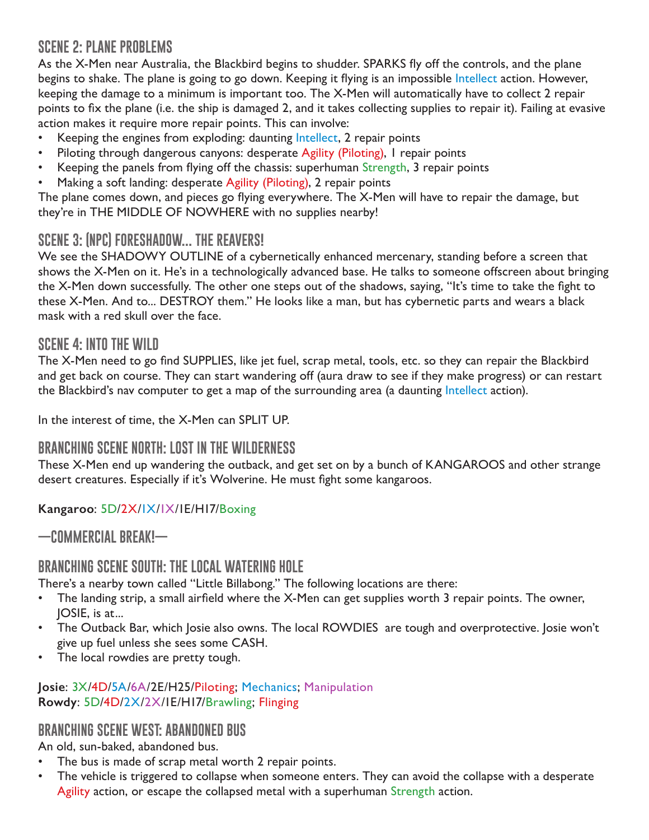# **SCENE 2: PLANE PROBLEMS**

As the X-Men near Australia, the Blackbird begins to shudder. SPARKS fly off the controls, and the plane begins to shake. The plane is going to go down. Keeping it flying is an impossible Intellect action. However, keeping the damage to a minimum is important too. The X-Men will automatically have to collect 2 repair points to fix the plane (i.e. the ship is damaged 2, and it takes collecting supplies to repair it). Failing at evasive action makes it require more repair points. This can involve:

- Keeping the engines from exploding: daunting Intellect, 2 repair points
- Piloting through dangerous canyons: desperate Agility (Piloting), I repair points
- Keeping the panels from flying off the chassis: superhuman Strength, 3 repair points
- Making a soft landing: desperate Agility (Piloting), 2 repair points

The plane comes down, and pieces go flying everywhere. The X-Men will have to repair the damage, but they're in THE MIDDLE OF NOWHERE with no supplies nearby!

# **SCENE 3: (NPC) FORESHADOW... THE REAVERS!**

We see the SHADOWY OUTLINE of a cybernetically enhanced mercenary, standing before a screen that shows the X-Men on it. He's in a technologically advanced base. He talks to someone offscreen about bringing the X-Men down successfully. The other one steps out of the shadows, saying, "It's time to take the fight to these X-Men. And to... DESTROY them." He looks like a man, but has cybernetic parts and wears a black mask with a red skull over the face.

# **SCENE 4: INTO THE WILD**

The X-Men need to go find SUPPLIES, like jet fuel, scrap metal, tools, etc. so they can repair the Blackbird and get back on course. They can start wandering off (aura draw to see if they make progress) or can restart the Blackbird's nav computer to get a map of the surrounding area (a daunting Intellect action).

In the interest of time, the X-Men can SPLIT UP.

# **BRANCHING SCENE NORTH: LOST IN THE WILDERNESS**

These X-Men end up wandering the outback, and get set on by a bunch of KANGAROOS and other strange desert creatures. Especially if it's Wolverine. He must fight some kangaroos.

**Kangaroo**: 5D/2X/1X/1X/1E/H17/Boxing

**—COMMERCIAL BREAK!—**

# **BRANCHING SCENE SOUTH: THE LOCAL WATERING HOLE**

There's a nearby town called "Little Billabong." The following locations are there:

- The landing strip, a small airfield where the X-Men can get supplies worth 3 repair points. The owner, JOSIE, is at...
- The Outback Bar, which Josie also owns. The local ROWDIES are tough and overprotective. Josie won't give up fuel unless she sees some CASH.
- The local rowdies are pretty tough.

#### **Josie**: 3X/4D/5A/6A/2E/H25/Piloting; Mechanics; Manipulation **Rowdy**: 5D/4D/2X/2X/1E/H17/Brawling; Flinging

# **BRANCHING SCENE WEST: ABANDONED BUS**

An old, sun-baked, abandoned bus.

- The bus is made of scrap metal worth 2 repair points.
- The vehicle is triggered to collapse when someone enters. They can avoid the collapse with a desperate Agility action, or escape the collapsed metal with a superhuman Strength action.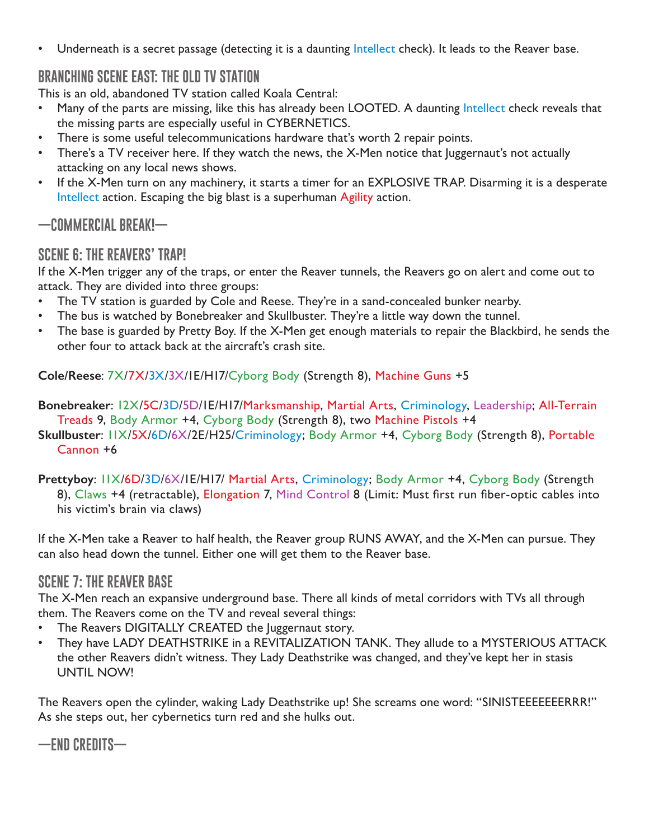• Underneath is a secret passage (detecting it is a daunting Intellect check). It leads to the Reaver base.

# **BRANCHING SCENE EAST: THE OLD TV STATION**

This is an old, abandoned TV station called Koala Central:

- Many of the parts are missing, like this has already been LOOTED. A daunting Intellect check reveals that the missing parts are especially useful in CYBERNETICS.
- There is some useful telecommunications hardware that's worth 2 repair points.
- There's a TV receiver here. If they watch the news, the X-Men notice that Juggernaut's not actually attacking on any local news shows.
- If the X-Men turn on any machinery, it starts a timer for an EXPLOSIVE TRAP. Disarming it is a desperate Intellect action. Escaping the big blast is a superhuman Agility action.

**—COMMERCIAL BREAK!—**

# **SCENE 6: THE REAVERS' TRAP!**

If the X-Men trigger any of the traps, or enter the Reaver tunnels, the Reavers go on alert and come out to attack. They are divided into three groups:

- The TV station is guarded by Cole and Reese. They're in a sand-concealed bunker nearby.
- The bus is watched by Bonebreaker and Skullbuster. They're a little way down the tunnel.
- The base is guarded by Pretty Boy. If the X-Men get enough materials to repair the Blackbird, he sends the other four to attack back at the aircraft's crash site.

**Cole/Reese**: 7X/7X/3X/3X/1E/H17/Cyborg Body (Strength 8), Machine Guns +5

**Bonebreaker**: 12X/5C/3D/5D/1E/H17/Marksmanship, Martial Arts, Criminology, Leadership; All-Terrain Treads 9, Body Armor +4, Cyborg Body (Strength 8), two Machine Pistols +4

**Skullbuster**: 11X/5X/6D/6X/2E/H25/Criminology; Body Armor +4, Cyborg Body (Strength 8), Portable Cannon +6

**Prettyboy**: 11X/6D/3D/6X/1E/H17/ Martial Arts, Criminology; Body Armor +4, Cyborg Body (Strength 8), Claws +4 (retractable), Elongation 7, Mind Control 8 (Limit: Must first run fiber-optic cables into his victim's brain via claws)

If the X-Men take a Reaver to half health, the Reaver group RUNS AWAY, and the X-Men can pursue. They can also head down the tunnel. Either one will get them to the Reaver base.

# **SCENE 7: THE REAVER BASE**

The X-Men reach an expansive underground base. There all kinds of metal corridors with TVs all through them. The Reavers come on the TV and reveal several things:

- The Reavers DIGITALLY CREATED the Juggernaut story.
- They have LADY DEATHSTRIKE in a REVITALIZATION TANK. They allude to a MYSTERIOUS ATTACK the other Reavers didn't witness. They Lady Deathstrike was changed, and they've kept her in stasis UNTIL NOW!

The Reavers open the cylinder, waking Lady Deathstrike up! She screams one word: "SINISTEEEEEEERRR!" As she steps out, her cybernetics turn red and she hulks out.

**—END CREDITS—**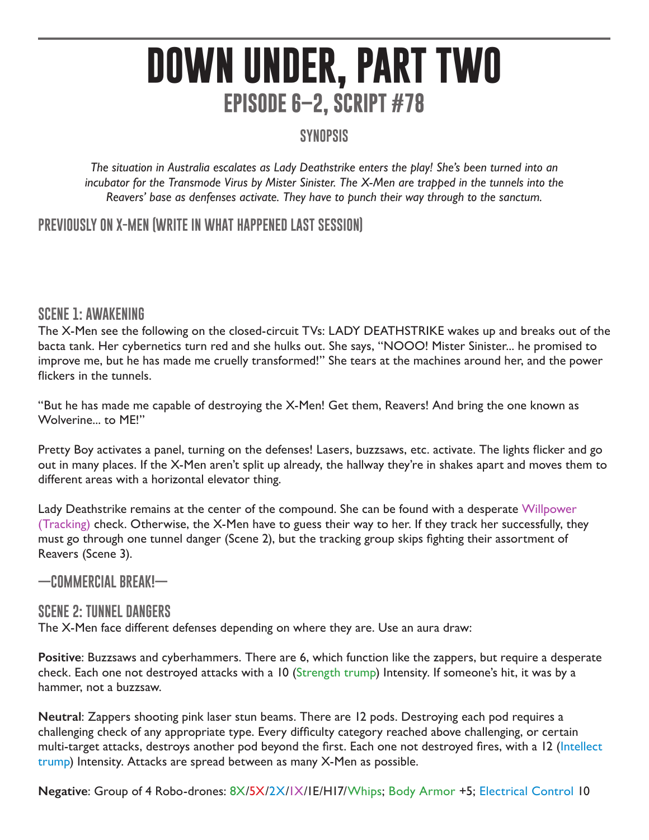# **DOWN UNDER, PART TWO EPISODE 6–2, SCRIPT #78**

# **SYNOPSIS**

*The situation in Australia escalates as Lady Deathstrike enters the play! She's been turned into an incubator for the Transmode Virus by Mister Sinister. The X-Men are trapped in the tunnels into the Reavers' base as denfenses activate. They have to punch their way through to the sanctum.* 

# **PREVIOUSLY ON X-MEN (WRITE IN WHAT HAPPENED LAST SESSION)**

### **SCENE 1: AWAKENING**

The X-Men see the following on the closed-circuit TVs: LADY DEATHSTRIKE wakes up and breaks out of the bacta tank. Her cybernetics turn red and she hulks out. She says, "NOOO! Mister Sinister... he promised to improve me, but he has made me cruelly transformed!" She tears at the machines around her, and the power flickers in the tunnels.

"But he has made me capable of destroying the X-Men! Get them, Reavers! And bring the one known as Wolverine... to ME!"

Pretty Boy activates a panel, turning on the defenses! Lasers, buzzsaws, etc. activate. The lights flicker and go out in many places. If the X-Men aren't split up already, the hallway they're in shakes apart and moves them to different areas with a horizontal elevator thing.

Lady Deathstrike remains at the center of the compound. She can be found with a desperate Willpower (Tracking) check. Otherwise, the X-Men have to guess their way to her. If they track her successfully, they must go through one tunnel danger (Scene 2), but the tracking group skips fighting their assortment of Reavers (Scene 3).

**—COMMERCIAL BREAK!—**

### **SCENE 2: TUNNEL DANGERS**

The X-Men face different defenses depending on where they are. Use an aura draw:

**Positive**: Buzzsaws and cyberhammers. There are 6, which function like the zappers, but require a desperate check. Each one not destroyed attacks with a 10 (Strength trump) Intensity. If someone's hit, it was by a hammer, not a buzzsaw.

**Neutral**: Zappers shooting pink laser stun beams. There are 12 pods. Destroying each pod requires a challenging check of any appropriate type. Every difficulty category reached above challenging, or certain multi-target attacks, destroys another pod beyond the first. Each one not destroyed fires, with a 12 (Intellect trump) Intensity. Attacks are spread between as many X-Men as possible.

**Negative**: Group of 4 Robo-drones: 8X/5X/2X/1X/1E/H17/Whips; Body Armor +5; Electrical Control 10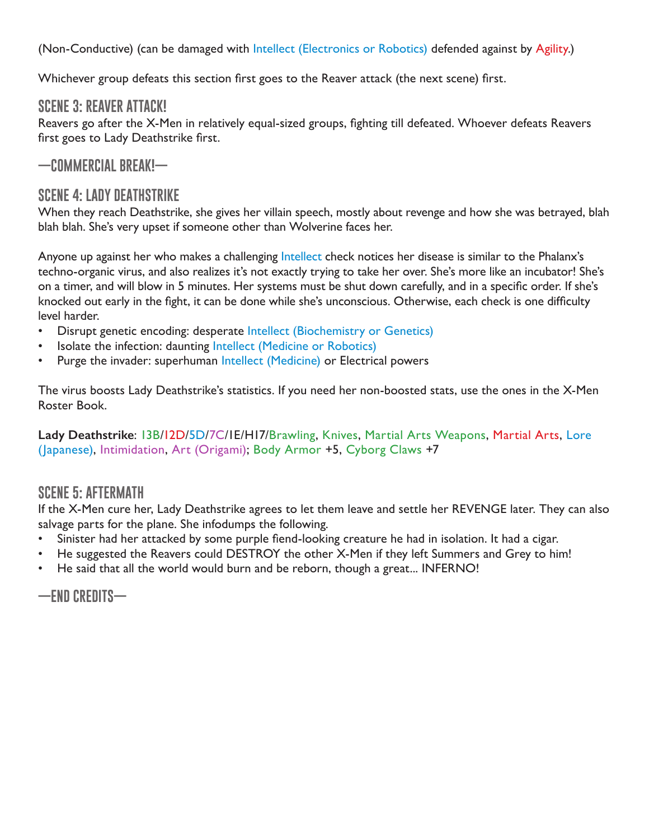(Non-Conductive) (can be damaged with Intellect (Electronics or Robotics) defended against by Agility.)

Whichever group defeats this section first goes to the Reaver attack (the next scene) first.

# **SCENE 3: REAVER ATTACK!**

Reavers go after the X-Men in relatively equal-sized groups, fighting till defeated. Whoever defeats Reavers first goes to Lady Deathstrike first.

# **—COMMERCIAL BREAK!—**

# **SCENE 4: LADY DEATHSTRIKE**

When they reach Deathstrike, she gives her villain speech, mostly about revenge and how she was betrayed, blah blah blah. She's very upset if someone other than Wolverine faces her.

Anyone up against her who makes a challenging Intellect check notices her disease is similar to the Phalanx's techno-organic virus, and also realizes it's not exactly trying to take her over. She's more like an incubator! She's on a timer, and will blow in 5 minutes. Her systems must be shut down carefully, and in a specific order. If she's knocked out early in the fight, it can be done while she's unconscious. Otherwise, each check is one difficulty level harder.

- Disrupt genetic encoding: desperate Intellect (Biochemistry or Genetics)
- Isolate the infection: daunting Intellect (Medicine or Robotics)
- Purge the invader: superhuman Intellect (Medicine) or Electrical powers

The virus boosts Lady Deathstrike's statistics. If you need her non-boosted stats, use the ones in the X-Men Roster Book.

#### **Lady Deathstrike**: 13B/12D/5D/7C/1E/H17/Brawling, Knives, Martial Arts Weapons, Martial Arts, Lore (Japanese), Intimidation, Art (Origami); Body Armor +5, Cyborg Claws +7

# **SCENE 5: AFTERMATH**

If the X-Men cure her, Lady Deathstrike agrees to let them leave and settle her REVENGE later. They can also salvage parts for the plane. She infodumps the following.

- Sinister had her attacked by some purple fiend-looking creature he had in isolation. It had a cigar.
- He suggested the Reavers could DESTROY the other X-Men if they left Summers and Grey to him!
- He said that all the world would burn and be reborn, though a great... INFERNO!

**—END CREDITS—**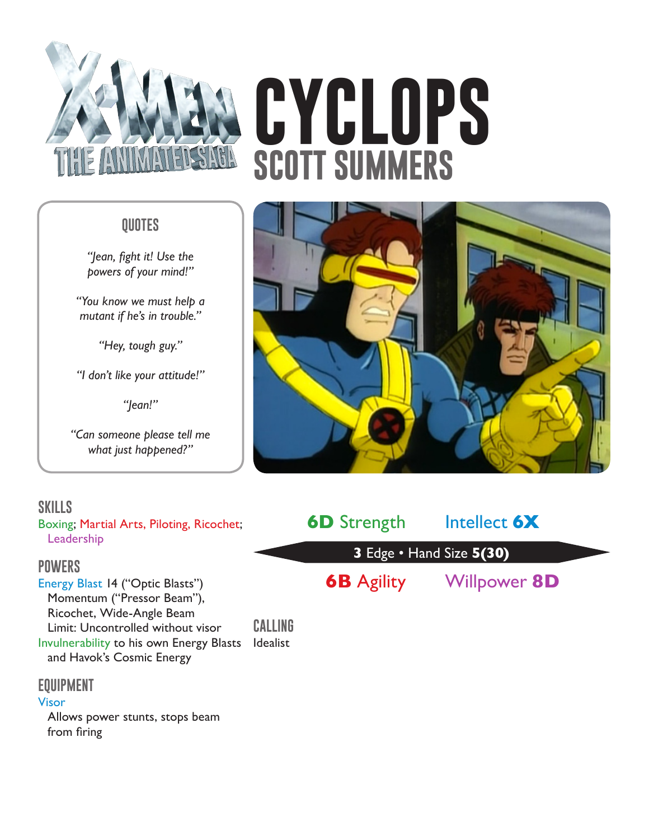

# **QUOTES**

*"Jean, fight it! Use the powers of your mind!"*

*"You know we must help a mutant if he's in trouble."*

*"Hey, tough guy."*

*"I don't like your attitude!"*

*"Jean!"*

*"Can someone please tell me what just happened?"*

# **SKILLS**

Boxing; Martial Arts, Piloting, Ricochet; Leadership

### **POWERS**

Energy Blast 14 ("Optic Blasts") Momentum ("Pressor Beam"), Ricochet, Wide-Angle Beam Limit: Uncontrolled without visor Invulnerability to his own Energy Blasts Idealist and Havok's Cosmic Energy

# **EQUIPMENT**

#### Visor

Allows power stunts, stops beam from firing

# **CYCLOPS SCOTT SUMMERS**





**CALLING**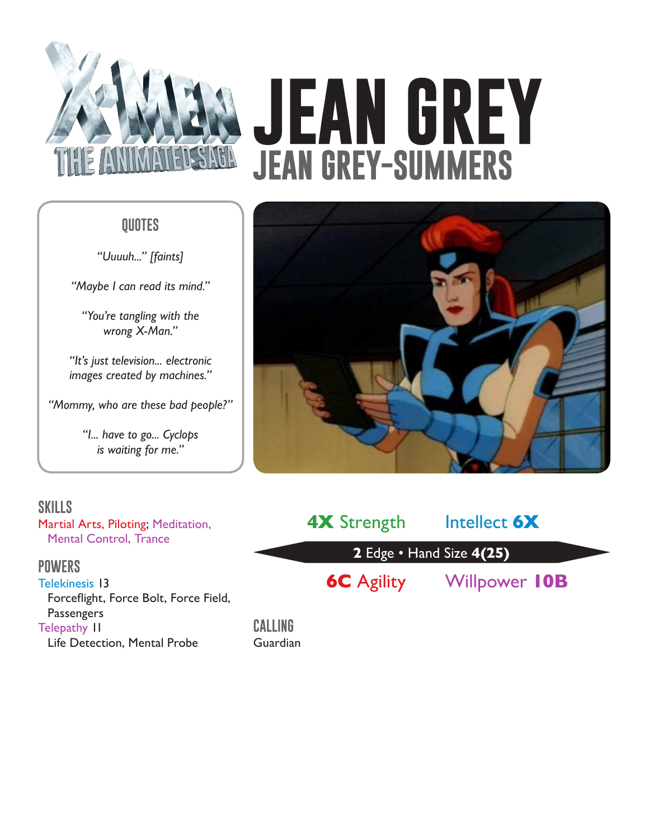

# **JEAN GREY JEAN GREY-SUMMERS**

# **QUOTES**

*"Uuuuh..." [faints]*

*"Maybe I can read its mind."*

*"You're tangling with the wrong X-Man."*

*"It's just television... electronic images created by machines."*

*"Mommy, who are these bad people?"*

*"I... have to go... Cyclops is waiting for me."*

# **SKILLS**

Martial Arts, Piloting; Meditation, Mental Control, Trance

# **POWERS**

Telekinesis 13 Forceflight, Force Bolt, Force Field, Passengers Telepathy 11 Life Detection, Mental Probe



| <b>4X</b> Strength       | Intellect 6X         |  |
|--------------------------|----------------------|--|
| 2 Edge • Hand Size 4(25) |                      |  |
| <b>6C</b> Agility        | <b>Willpower 10B</b> |  |

**CALLING** Guardian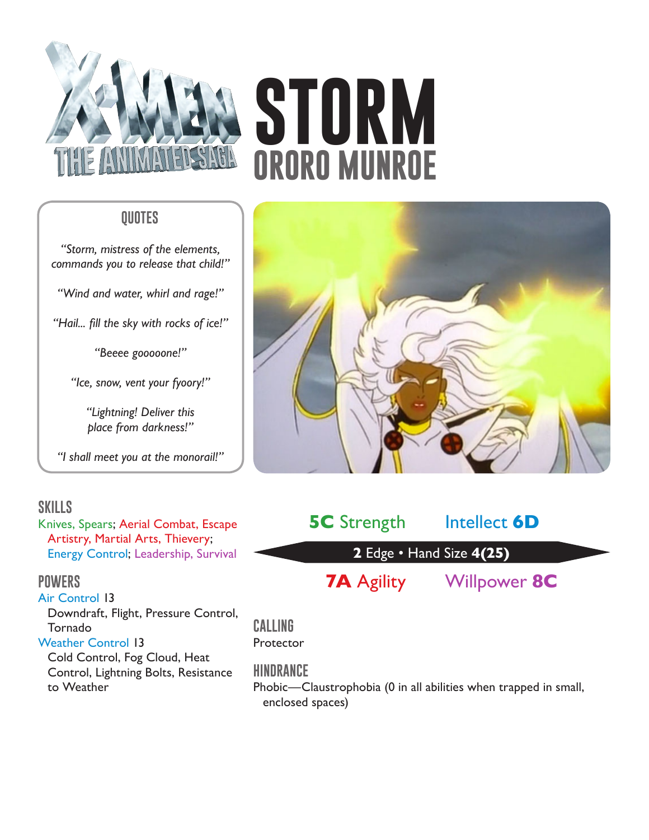

# **STORM ORORO MUNROE**

# **QUOTES**

*"Storm, mistress of the elements, commands you to release that child!"*

*"Wind and water, whirl and rage!"*

*"Hail... fill the sky with rocks of ice!"*

*"Beeee gooooone!"*

*"Ice, snow, vent your fyoory!"*

*"Lightning! Deliver this place from darkness!"*

*"I shall meet you at the monorail!"*

# **SKILLS**

Knives, Spears; Aerial Combat, Escape Artistry, Martial Arts, Thievery; Energy Control; Leadership, Survival

### **POWERS**

Air Control 13 Downdraft, Flight, Pressure Control, Tornado Weather Control 13 Cold Control, Fog Cloud, Heat

Control, Lightning Bolts, Resistance to Weather



| <b>5C</b> Strength       | Intellect <b>6D</b> |  |  |
|--------------------------|---------------------|--|--|
| 2 Edge • Hand Size 4(25) |                     |  |  |
| <b>7A</b> Agility        | Willpower 8C        |  |  |

**CALLING Protector** 

# **HINDRANCE**

Phobic—Claustrophobia (0 in all abilities when trapped in small, enclosed spaces)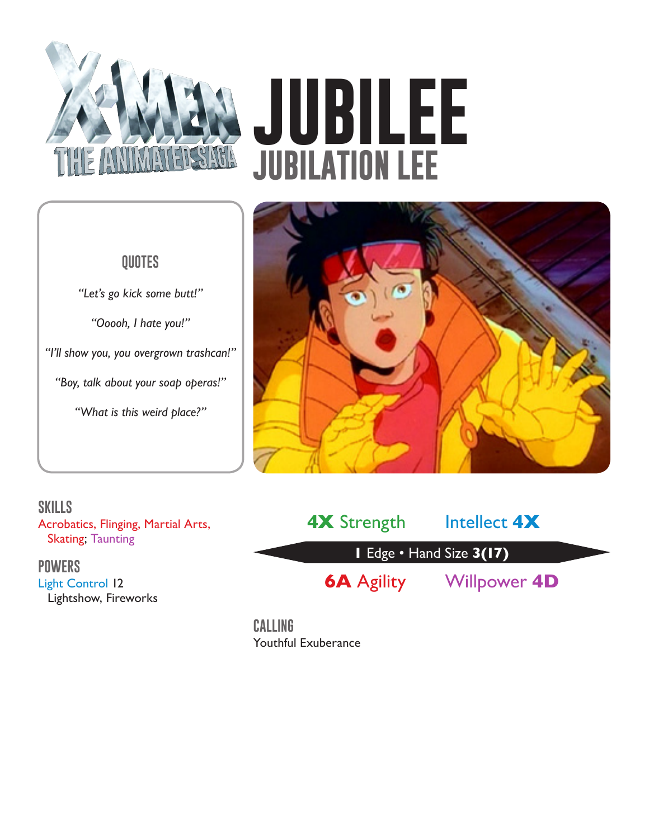

# **JUBILEE JUBILATION LEE**

# **QUOTES**

*"Let's go kick some butt!"*

*"Ooooh, I hate you!"*

*"I'll show you, you overgrown trashcan!"*

*"Boy, talk about your soap operas!"*

*"What is this weird place?"*



**SKILLS** Acrobatics, Flinging, Martial Arts, Skating; Taunting

### **POWERS**

Light Control 12 Lightshow, Fireworks

**1** Edge • Hand Size **3(17) 4X** Strength Intellect **4X 6A** Agility Willpower **4D**

**CALLING** Youthful Exuberance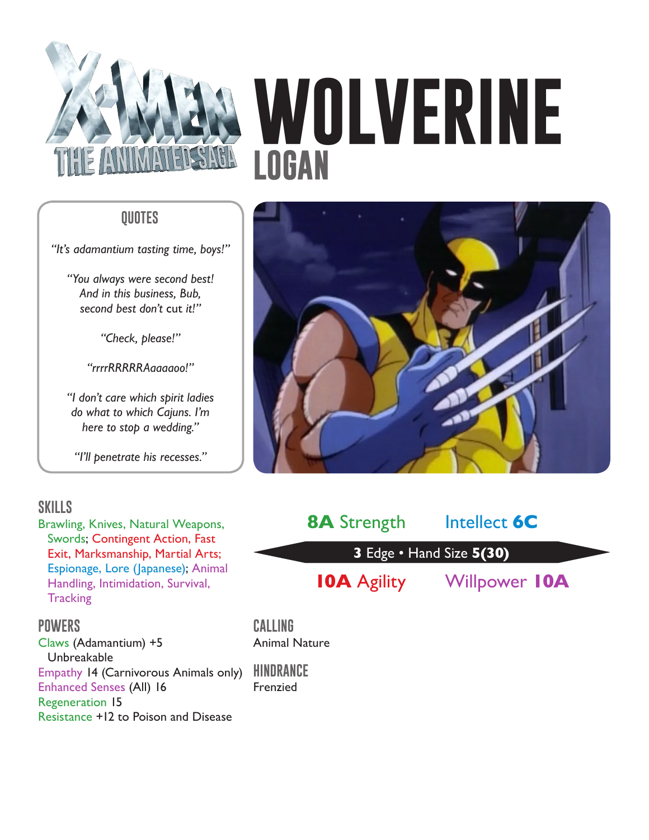

# **WOLVERINE LOGAN**

# **QUOTES**

*"It's adamantium tasting time, boys!"*

*"You always were second best! And in this business, Bub, second best don't* cut *it!"*

*"Check, please!"*

*"rrrrRRRRRAaaaaoo!"*

*"I don't care which spirit ladies do what to which Cajuns. I'm here to stop a wedding."*

*"I'll penetrate his recesses."*

# **SKILLS**

Brawling, Knives, Natural Weapons, Swords; Contingent Action, Fast Exit, Marksmanship, Martial Arts; Espionage, Lore (Japanese); Animal Handling, Intimidation, Survival, **Tracking** 

#### **POWERS**

Claws (Adamantium) +5 Unbreakable Empathy 14 (Carnivorous Animals only) **HINDRANCE** Enhanced Senses (All) 16 Regeneration 15 Resistance +12 to Poison and Disease





**CALLING** Animal Nature

Frenzied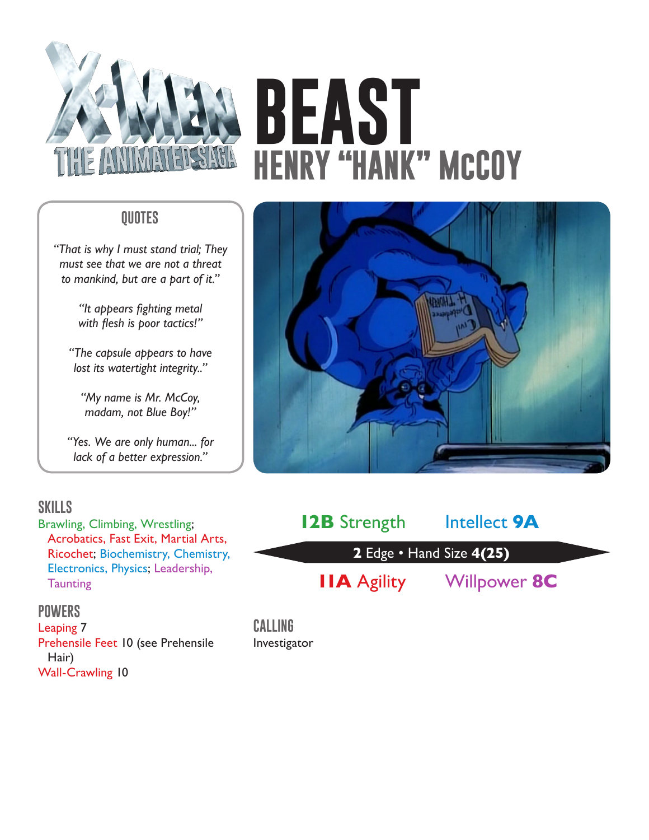

# **BEAST HENRY "HANK" McCOY**

# **QUOTES**

*"That is why I must stand trial; They must see that we are not a threat to mankind, but are a part of it."*

> *"It appears fighting metal with flesh is poor tactics!"*

*"The capsule appears to have lost its watertight integrity.."*

*"My name is Mr. McCoy, madam, not Blue Boy!"*

*"Yes. We are only human... for lack of a better expression."*

# **SKILLS**

Brawling, Climbing, Wrestling; Acrobatics, Fast Exit, Martial Arts, Ricochet; Biochemistry, Chemistry, Electronics, Physics; Leadership, **Taunting** 

### **POWERS**

Leaping 7 Prehensile Feet 10 (see Prehensile Hair) Wall-Crawling 10



| <b>I2B</b> Strength      | Intellect <b>9A</b> |  |  |
|--------------------------|---------------------|--|--|
| 2 Edge • Hand Size 4(25) |                     |  |  |
| <b>IIA</b> Agility       | Willpower 8C        |  |  |

**CALLING** Investigator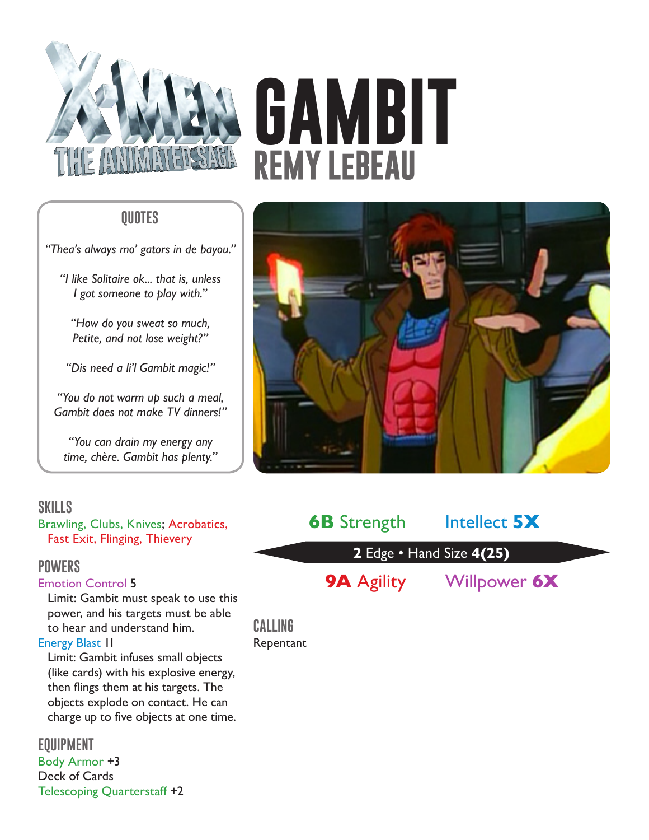

# **GAMBIT REMY LeBEAU**

# **QUOTES**

*"Thea's always mo' gators in de bayou."*

*"I like Solitaire ok... that is, unless I got someone to play with."*

*"How do you sweat so much, Petite, and not lose weight?"*

*"Dis need a li'l Gambit magic!"*

*"You do not warm up such a meal, Gambit does not make TV dinners!"*

*"You can drain my energy any time, chère. Gambit has plenty."*

# **SKILLS**

Brawling, Clubs, Knives; Acrobatics, Fast Exit, Flinging, Thievery

### **POWERS**

#### Emotion Control 5

Limit: Gambit must speak to use this power, and his targets must be able to hear and understand him. Energy Blast 11

Limit: Gambit infuses small objects (like cards) with his explosive energy, then flings them at his targets. The objects explode on contact. He can charge up to five objects at one time.

**EQUIPMENT** Body Armor +3 Deck of Cards Telescoping Quarterstaff +2



| <b>6B</b> Strength       | Intellect 5X |  |  |
|--------------------------|--------------|--|--|
| 2 Edge • Hand Size 4(25) |              |  |  |
| <b>9A</b> Agility        | Willpower 6X |  |  |

**CALLING** Repentant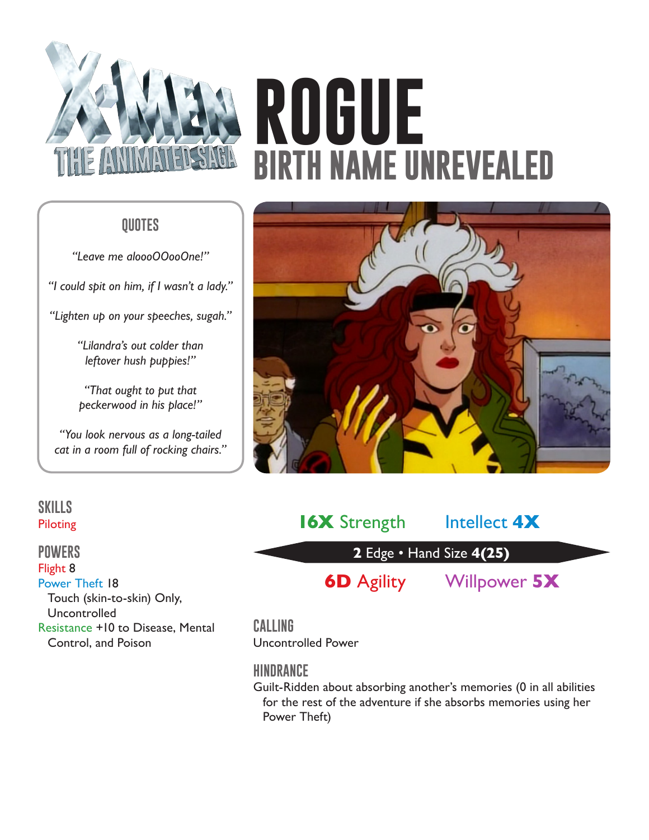

# **ROGUE BIRTH NAME UNREVEALED**

# **QUOTES**

*"Leave me aloooOOooOne!"*

*"I could spit on him, if I wasn't a lady."*

*"Lighten up on your speeches, sugah."*

*"Lilandra's out colder than leftover hush puppies!"*

*"That ought to put that peckerwood in his place!"*

*"You look nervous as a long-tailed cat in a room full of rocking chairs."*



# **SKILLS** Piloting

#### **POWERS**

Flight 8 Power Theft 18 Touch (skin-to-skin) Only, Uncontrolled Resistance +10 to Disease, Mental Control, and Poison

# **2** Edge • Hand Size **4(25) 16X** Strength Intellect 4X **6D** Agility Willpower **5X**

# **CALLING**

Uncontrolled Power

# **HINDRANCE**

Guilt-Ridden about absorbing another's memories (0 in all abilities for the rest of the adventure if she absorbs memories using her Power Theft)